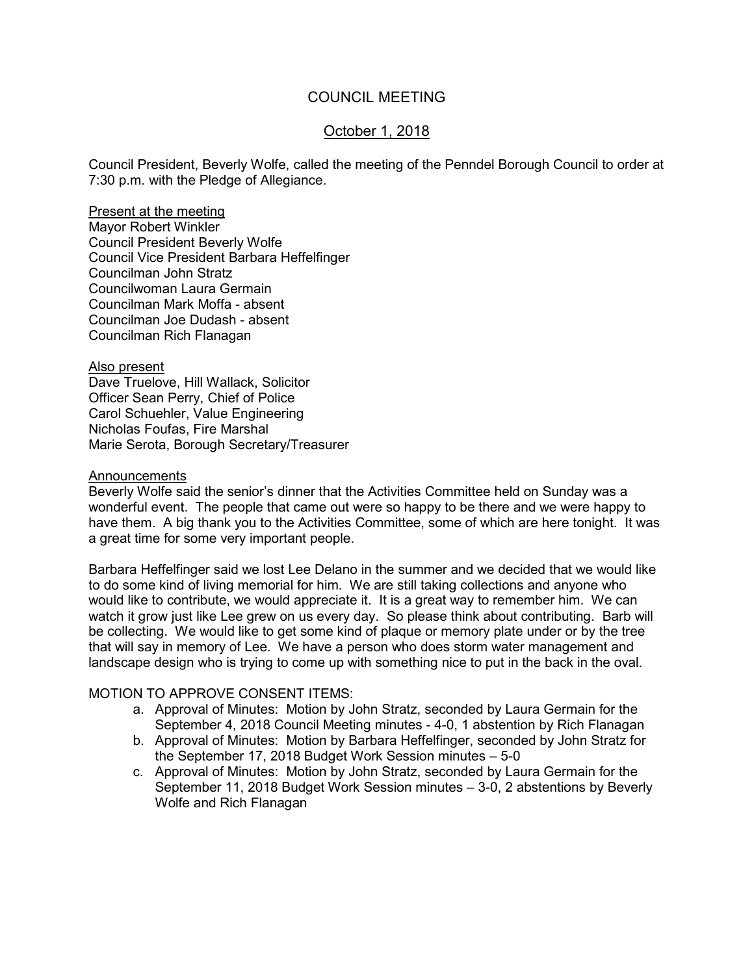### COUNCIL MEETING

## October 1, 2018

Council President, Beverly Wolfe, called the meeting of the Penndel Borough Council to order at 7:30 p.m. with the Pledge of Allegiance.

#### Present at the meeting

Mayor Robert Winkler Council President Beverly Wolfe Council Vice President Barbara Heffelfinger Councilman John Stratz Councilwoman Laura Germain Councilman Mark Moffa - absent Councilman Joe Dudash - absent Councilman Rich Flanagan

Also present Dave Truelove, Hill Wallack, Solicitor Officer Sean Perry, Chief of Police Carol Schuehler, Value Engineering Nicholas Foufas, Fire Marshal Marie Serota, Borough Secretary/Treasurer

#### Announcements

Beverly Wolfe said the senior's dinner that the Activities Committee held on Sunday was a wonderful event. The people that came out were so happy to be there and we were happy to have them. A big thank you to the Activities Committee, some of which are here tonight. It was a great time for some very important people.

Barbara Heffelfinger said we lost Lee Delano in the summer and we decided that we would like to do some kind of living memorial for him. We are still taking collections and anyone who would like to contribute, we would appreciate it. It is a great way to remember him. We can watch it grow just like Lee grew on us every day. So please think about contributing. Barb will be collecting. We would like to get some kind of plaque or memory plate under or by the tree that will say in memory of Lee. We have a person who does storm water management and landscape design who is trying to come up with something nice to put in the back in the oval.

#### MOTION TO APPROVE CONSENT ITEMS:

- a. Approval of Minutes: Motion by John Stratz, seconded by Laura Germain for the September 4, 2018 Council Meeting minutes - 4-0, 1 abstention by Rich Flanagan
- b. Approval of Minutes: Motion by Barbara Heffelfinger, seconded by John Stratz for the September 17, 2018 Budget Work Session minutes – 5-0
- c. Approval of Minutes: Motion by John Stratz, seconded by Laura Germain for the September 11, 2018 Budget Work Session minutes – 3-0, 2 abstentions by Beverly Wolfe and Rich Flanagan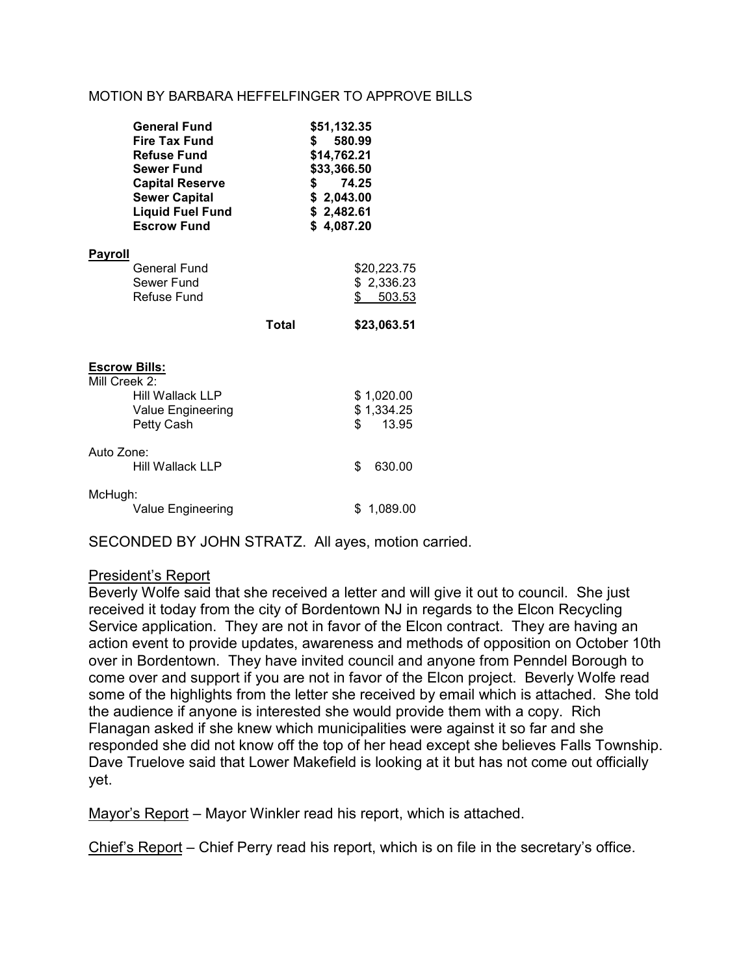#### MOTION BY BARBARA HEFFELFINGER TO APPROVE BILLS

|                                                                                              | <b>General Fund</b><br><b>Fire Tax Fund</b><br><b>Refuse Fund</b><br><b>Sewer Fund</b><br><b>Capital Reserve</b><br><b>Sewer Capital</b><br><b>Liquid Fuel Fund</b><br><b>Escrow Fund</b> | \$51,132.35<br>580.99<br>s.<br>\$14,762.21<br>\$33,366.50<br>74.25<br>\$<br>\$2,043.00<br>\$2,482.61<br>\$4,087.20 |                                           |
|----------------------------------------------------------------------------------------------|-------------------------------------------------------------------------------------------------------------------------------------------------------------------------------------------|--------------------------------------------------------------------------------------------------------------------|-------------------------------------------|
| <u>Payroll</u>                                                                               |                                                                                                                                                                                           |                                                                                                                    |                                           |
|                                                                                              | General Fund<br>Sewer Fund<br><b>Refuse Fund</b>                                                                                                                                          |                                                                                                                    | \$20,223.75<br>\$2,336.23<br>\$<br>503.53 |
|                                                                                              |                                                                                                                                                                                           | Total                                                                                                              | \$23,063.51                               |
| <b>Escrow Bills:</b><br>Mill Creek 2:<br>Hill Wallack LLP<br>Value Engineering<br>Petty Cash |                                                                                                                                                                                           |                                                                                                                    | \$1,020.00<br>\$1,334.25<br>\$<br>13.95   |
| Auto Zone:                                                                                   | Hill Wallack LLP                                                                                                                                                                          |                                                                                                                    | \$<br>630.00                              |
| McHugh:                                                                                      | Value Engineering                                                                                                                                                                         |                                                                                                                    | \$1,089.00                                |

SECONDED BY JOHN STRATZ. All ayes, motion carried.

### President's Report

Beverly Wolfe said that she received a letter and will give it out to council. She just received it today from the city of Bordentown NJ in regards to the Elcon Recycling Service application. They are not in favor of the Elcon contract. They are having an action event to provide updates, awareness and methods of opposition on October 10th over in Bordentown. They have invited council and anyone from Penndel Borough to come over and support if you are not in favor of the Elcon project. Beverly Wolfe read some of the highlights from the letter she received by email which is attached. She told the audience if anyone is interested she would provide them with a copy. Rich Flanagan asked if she knew which municipalities were against it so far and she responded she did not know off the top of her head except she believes Falls Township. Dave Truelove said that Lower Makefield is looking at it but has not come out officially yet.

Mayor's Report – Mayor Winkler read his report, which is attached.

Chief's Report – Chief Perry read his report, which is on file in the secretary's office.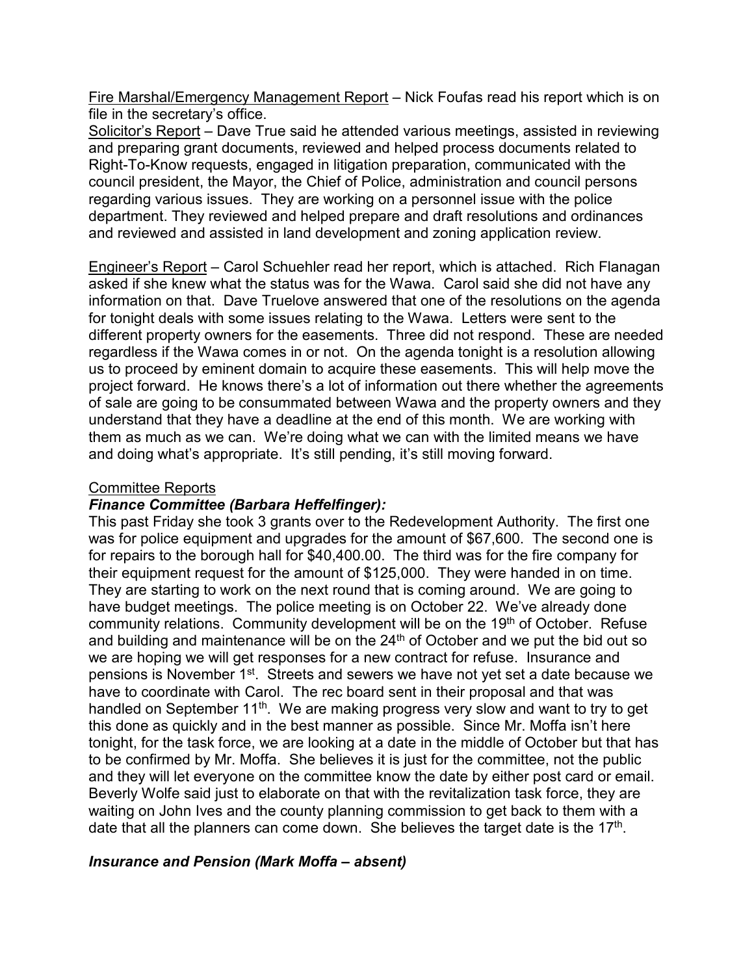Fire Marshal/Emergency Management Report – Nick Foufas read his report which is on file in the secretary's office.

Solicitor's Report – Dave True said he attended various meetings, assisted in reviewing and preparing grant documents, reviewed and helped process documents related to Right-To-Know requests, engaged in litigation preparation, communicated with the council president, the Mayor, the Chief of Police, administration and council persons regarding various issues. They are working on a personnel issue with the police department. They reviewed and helped prepare and draft resolutions and ordinances and reviewed and assisted in land development and zoning application review.

Engineer's Report – Carol Schuehler read her report, which is attached. Rich Flanagan asked if she knew what the status was for the Wawa. Carol said she did not have any information on that. Dave Truelove answered that one of the resolutions on the agenda for tonight deals with some issues relating to the Wawa. Letters were sent to the different property owners for the easements. Three did not respond. These are needed regardless if the Wawa comes in or not. On the agenda tonight is a resolution allowing us to proceed by eminent domain to acquire these easements. This will help move the project forward. He knows there's a lot of information out there whether the agreements of sale are going to be consummated between Wawa and the property owners and they understand that they have a deadline at the end of this month. We are working with them as much as we can. We're doing what we can with the limited means we have and doing what's appropriate. It's still pending, it's still moving forward.

## Committee Reports

## *Finance Committee (Barbara Heffelfinger):*

This past Friday she took 3 grants over to the Redevelopment Authority. The first one was for police equipment and upgrades for the amount of \$67,600. The second one is for repairs to the borough hall for \$40,400.00. The third was for the fire company for their equipment request for the amount of \$125,000. They were handed in on time. They are starting to work on the next round that is coming around. We are going to have budget meetings. The police meeting is on October 22. We've already done community relations. Community development will be on the 19<sup>th</sup> of October. Refuse and building and maintenance will be on the  $24<sup>th</sup>$  of October and we put the bid out so we are hoping we will get responses for a new contract for refuse. Insurance and pensions is November 1st. Streets and sewers we have not yet set a date because we have to coordinate with Carol. The rec board sent in their proposal and that was handled on September 11<sup>th</sup>. We are making progress very slow and want to try to get this done as quickly and in the best manner as possible. Since Mr. Moffa isn't here tonight, for the task force, we are looking at a date in the middle of October but that has to be confirmed by Mr. Moffa. She believes it is just for the committee, not the public and they will let everyone on the committee know the date by either post card or email. Beverly Wolfe said just to elaborate on that with the revitalization task force, they are waiting on John Ives and the county planning commission to get back to them with a date that all the planners can come down. She believes the target date is the  $17<sup>th</sup>$ .

## *Insurance and Pension (Mark Moffa – absent)*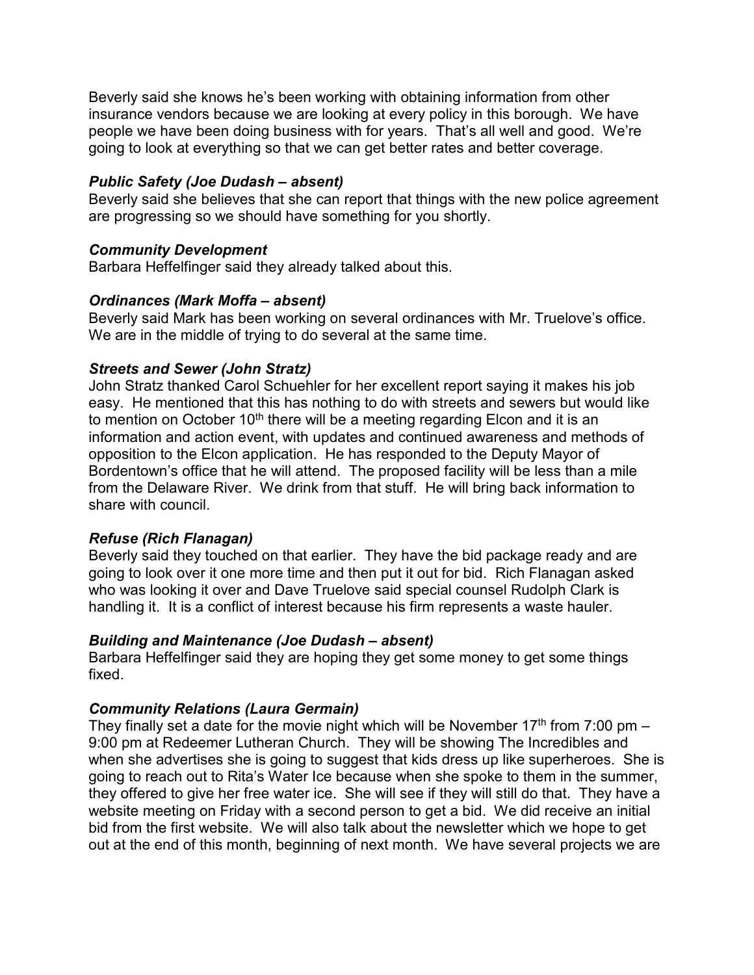Beverly said she knows he's been working with obtaining information from other insurance vendors because we are looking at every policy in this borough. We have people we have been doing business with for years. That's all well and good. We're going to look at everything so that we can get better rates and better coverage.

## *Public Safety (Joe Dudash – absent)*

Beverly said she believes that she can report that things with the new police agreement are progressing so we should have something for you shortly.

# *Community Development*

Barbara Heffelfinger said they already talked about this.

# *Ordinances (Mark Moffa – absent)*

Beverly said Mark has been working on several ordinances with Mr. Truelove's office. We are in the middle of trying to do several at the same time.

# *Streets and Sewer (John Stratz)*

John Stratz thanked Carol Schuehler for her excellent report saying it makes his job easy. He mentioned that this has nothing to do with streets and sewers but would like to mention on October  $10<sup>th</sup>$  there will be a meeting regarding Elcon and it is an information and action event, with updates and continued awareness and methods of opposition to the Elcon application. He has responded to the Deputy Mayor of Bordentown's office that he will attend. The proposed facility will be less than a mile from the Delaware River. We drink from that stuff. He will bring back information to share with council.

# *Refuse (Rich Flanagan)*

Beverly said they touched on that earlier. They have the bid package ready and are going to look over it one more time and then put it out for bid. Rich Flanagan asked who was looking it over and Dave Truelove said special counsel Rudolph Clark is handling it. It is a conflict of interest because his firm represents a waste hauler.

## *Building and Maintenance (Joe Dudash – absent)*

Barbara Heffelfinger said they are hoping they get some money to get some things fixed.

# *Community Relations (Laura Germain)*

They finally set a date for the movie night which will be November 17<sup>th</sup> from 7:00 pm – 9:00 pm at Redeemer Lutheran Church. They will be showing The Incredibles and when she advertises she is going to suggest that kids dress up like superheroes. She is going to reach out to Rita's Water Ice because when she spoke to them in the summer, they offered to give her free water ice. She will see if they will still do that. They have a website meeting on Friday with a second person to get a bid. We did receive an initial bid from the first website. We will also talk about the newsletter which we hope to get out at the end of this month, beginning of next month. We have several projects we are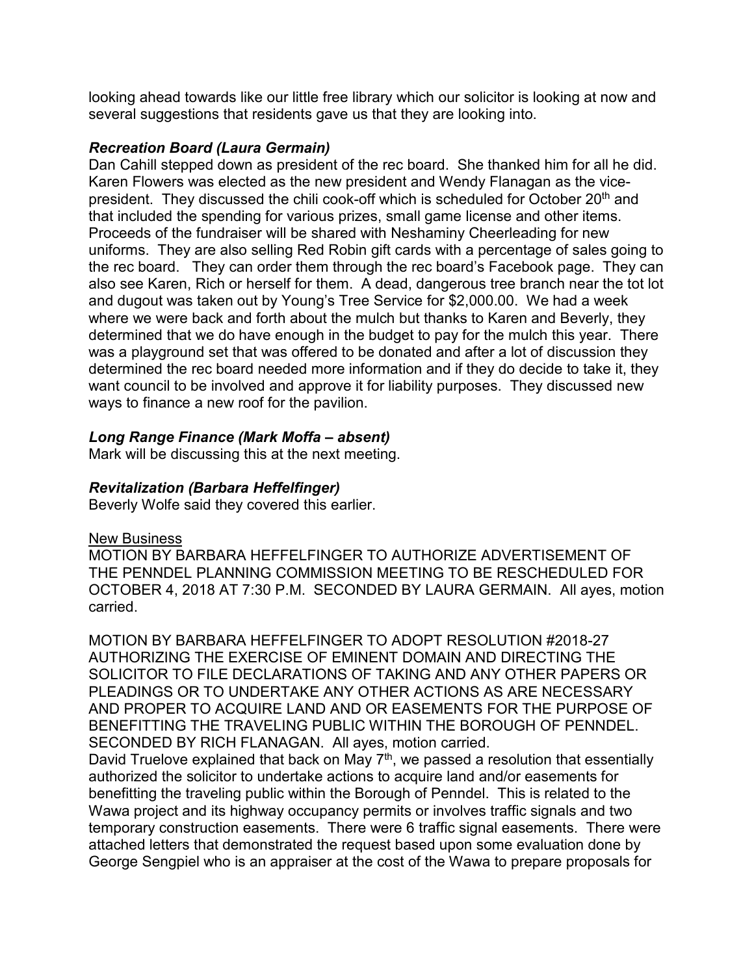looking ahead towards like our little free library which our solicitor is looking at now and several suggestions that residents gave us that they are looking into.

## *Recreation Board (Laura Germain)*

Dan Cahill stepped down as president of the rec board. She thanked him for all he did. Karen Flowers was elected as the new president and Wendy Flanagan as the vicepresident. They discussed the chili cook-off which is scheduled for October 20<sup>th</sup> and that included the spending for various prizes, small game license and other items. Proceeds of the fundraiser will be shared with Neshaminy Cheerleading for new uniforms. They are also selling Red Robin gift cards with a percentage of sales going to the rec board. They can order them through the rec board's Facebook page. They can also see Karen, Rich or herself for them. A dead, dangerous tree branch near the tot lot and dugout was taken out by Young's Tree Service for \$2,000.00. We had a week where we were back and forth about the mulch but thanks to Karen and Beverly, they determined that we do have enough in the budget to pay for the mulch this year. There was a playground set that was offered to be donated and after a lot of discussion they determined the rec board needed more information and if they do decide to take it, they want council to be involved and approve it for liability purposes. They discussed new ways to finance a new roof for the pavilion.

## *Long Range Finance (Mark Moffa – absent)*

Mark will be discussing this at the next meeting.

## *Revitalization (Barbara Heffelfinger)*

Beverly Wolfe said they covered this earlier.

### New Business

MOTION BY BARBARA HEFFELFINGER TO AUTHORIZE ADVERTISEMENT OF THE PENNDEL PLANNING COMMISSION MEETING TO BE RESCHEDULED FOR OCTOBER 4, 2018 AT 7:30 P.M. SECONDED BY LAURA GERMAIN. All ayes, motion carried.

MOTION BY BARBARA HEFFELFINGER TO ADOPT RESOLUTION #2018-27 AUTHORIZING THE EXERCISE OF EMINENT DOMAIN AND DIRECTING THE SOLICITOR TO FILE DECLARATIONS OF TAKING AND ANY OTHER PAPERS OR PLEADINGS OR TO UNDERTAKE ANY OTHER ACTIONS AS ARE NECESSARY AND PROPER TO ACQUIRE LAND AND OR EASEMENTS FOR THE PURPOSE OF BENEFITTING THE TRAVELING PUBLIC WITHIN THE BOROUGH OF PENNDEL. SECONDED BY RICH FLANAGAN. All ayes, motion carried.

David Truelove explained that back on May 7<sup>th</sup>, we passed a resolution that essentially authorized the solicitor to undertake actions to acquire land and/or easements for benefitting the traveling public within the Borough of Penndel. This is related to the Wawa project and its highway occupancy permits or involves traffic signals and two temporary construction easements. There were 6 traffic signal easements. There were attached letters that demonstrated the request based upon some evaluation done by George Sengpiel who is an appraiser at the cost of the Wawa to prepare proposals for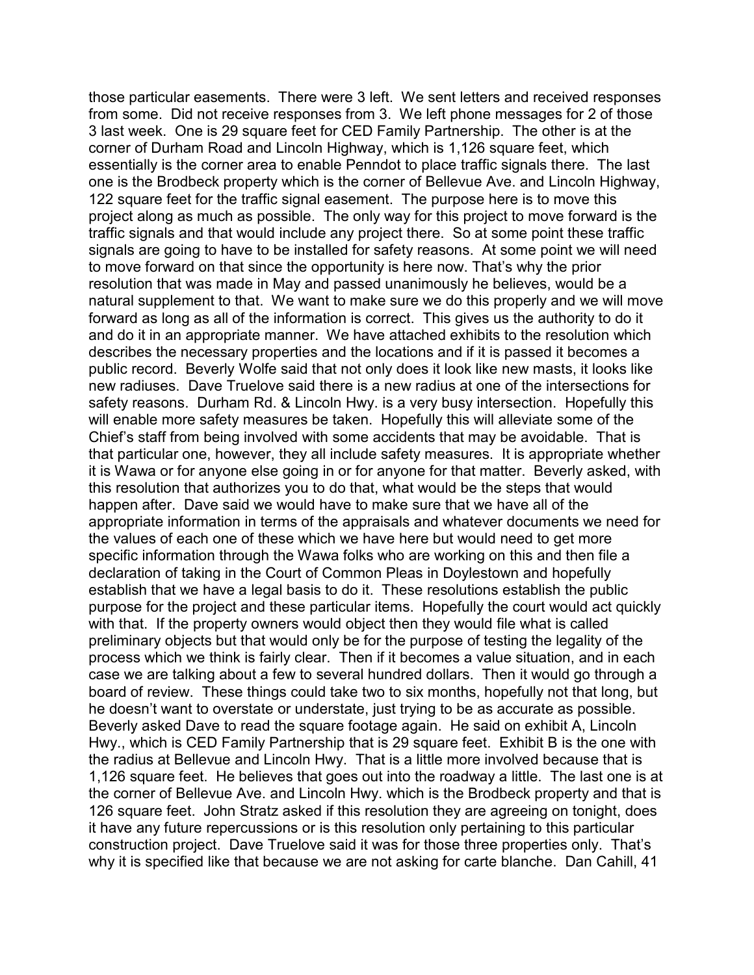those particular easements. There were 3 left. We sent letters and received responses from some. Did not receive responses from 3. We left phone messages for 2 of those 3 last week. One is 29 square feet for CED Family Partnership. The other is at the corner of Durham Road and Lincoln Highway, which is 1,126 square feet, which essentially is the corner area to enable Penndot to place traffic signals there. The last one is the Brodbeck property which is the corner of Bellevue Ave. and Lincoln Highway, 122 square feet for the traffic signal easement. The purpose here is to move this project along as much as possible. The only way for this project to move forward is the traffic signals and that would include any project there. So at some point these traffic signals are going to have to be installed for safety reasons. At some point we will need to move forward on that since the opportunity is here now. That's why the prior resolution that was made in May and passed unanimously he believes, would be a natural supplement to that. We want to make sure we do this properly and we will move forward as long as all of the information is correct. This gives us the authority to do it and do it in an appropriate manner. We have attached exhibits to the resolution which describes the necessary properties and the locations and if it is passed it becomes a public record. Beverly Wolfe said that not only does it look like new masts, it looks like new radiuses. Dave Truelove said there is a new radius at one of the intersections for safety reasons. Durham Rd. & Lincoln Hwy. is a very busy intersection. Hopefully this will enable more safety measures be taken. Hopefully this will alleviate some of the Chief's staff from being involved with some accidents that may be avoidable. That is that particular one, however, they all include safety measures. It is appropriate whether it is Wawa or for anyone else going in or for anyone for that matter. Beverly asked, with this resolution that authorizes you to do that, what would be the steps that would happen after. Dave said we would have to make sure that we have all of the appropriate information in terms of the appraisals and whatever documents we need for the values of each one of these which we have here but would need to get more specific information through the Wawa folks who are working on this and then file a declaration of taking in the Court of Common Pleas in Doylestown and hopefully establish that we have a legal basis to do it. These resolutions establish the public purpose for the project and these particular items. Hopefully the court would act quickly with that. If the property owners would object then they would file what is called preliminary objects but that would only be for the purpose of testing the legality of the process which we think is fairly clear. Then if it becomes a value situation, and in each case we are talking about a few to several hundred dollars. Then it would go through a board of review. These things could take two to six months, hopefully not that long, but he doesn't want to overstate or understate, just trying to be as accurate as possible. Beverly asked Dave to read the square footage again. He said on exhibit A, Lincoln Hwy., which is CED Family Partnership that is 29 square feet. Exhibit B is the one with the radius at Bellevue and Lincoln Hwy. That is a little more involved because that is 1,126 square feet. He believes that goes out into the roadway a little. The last one is at the corner of Bellevue Ave. and Lincoln Hwy. which is the Brodbeck property and that is 126 square feet. John Stratz asked if this resolution they are agreeing on tonight, does it have any future repercussions or is this resolution only pertaining to this particular construction project. Dave Truelove said it was for those three properties only. That's why it is specified like that because we are not asking for carte blanche. Dan Cahill, 41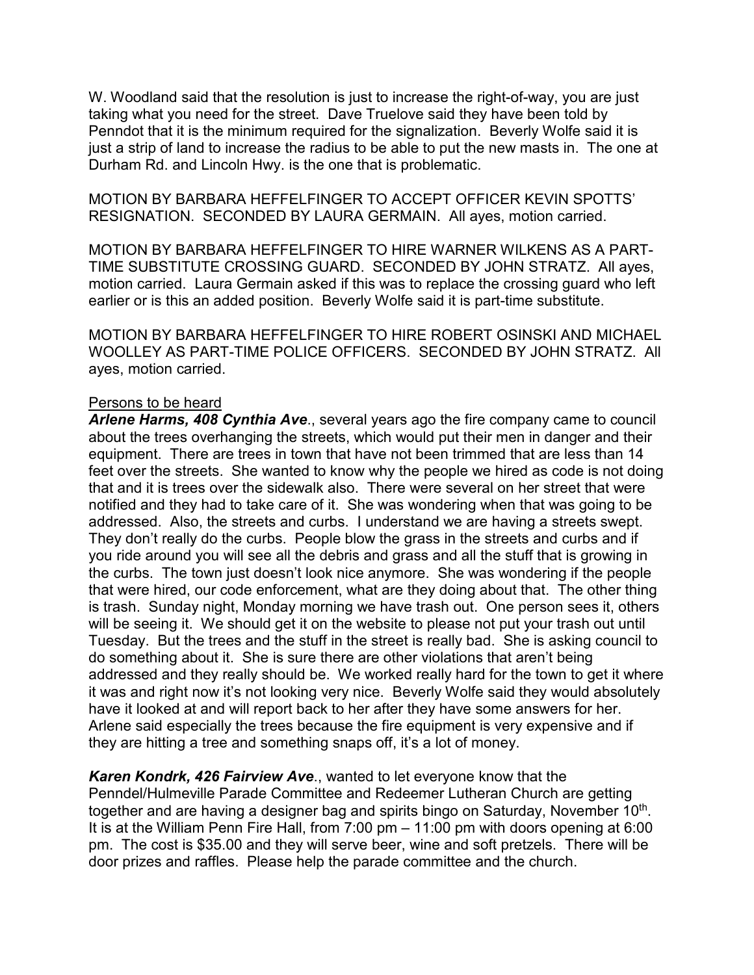W. Woodland said that the resolution is just to increase the right-of-way, you are just taking what you need for the street. Dave Truelove said they have been told by Penndot that it is the minimum required for the signalization. Beverly Wolfe said it is just a strip of land to increase the radius to be able to put the new masts in. The one at Durham Rd. and Lincoln Hwy. is the one that is problematic.

MOTION BY BARBARA HEFFELFINGER TO ACCEPT OFFICER KEVIN SPOTTS' RESIGNATION. SECONDED BY LAURA GERMAIN. All ayes, motion carried.

MOTION BY BARBARA HEFFELFINGER TO HIRE WARNER WILKENS AS A PART-TIME SUBSTITUTE CROSSING GUARD. SECONDED BY JOHN STRATZ. All ayes, motion carried. Laura Germain asked if this was to replace the crossing guard who left earlier or is this an added position. Beverly Wolfe said it is part-time substitute.

MOTION BY BARBARA HEFFELFINGER TO HIRE ROBERT OSINSKI AND MICHAEL WOOLLEY AS PART-TIME POLICE OFFICERS. SECONDED BY JOHN STRATZ. All ayes, motion carried.

### Persons to be heard

*Arlene Harms, 408 Cynthia Ave*., several years ago the fire company came to council about the trees overhanging the streets, which would put their men in danger and their equipment. There are trees in town that have not been trimmed that are less than 14 feet over the streets. She wanted to know why the people we hired as code is not doing that and it is trees over the sidewalk also. There were several on her street that were notified and they had to take care of it. She was wondering when that was going to be addressed. Also, the streets and curbs. I understand we are having a streets swept. They don't really do the curbs. People blow the grass in the streets and curbs and if you ride around you will see all the debris and grass and all the stuff that is growing in the curbs. The town just doesn't look nice anymore. She was wondering if the people that were hired, our code enforcement, what are they doing about that. The other thing is trash. Sunday night, Monday morning we have trash out. One person sees it, others will be seeing it. We should get it on the website to please not put your trash out until Tuesday. But the trees and the stuff in the street is really bad. She is asking council to do something about it. She is sure there are other violations that aren't being addressed and they really should be. We worked really hard for the town to get it where it was and right now it's not looking very nice. Beverly Wolfe said they would absolutely have it looked at and will report back to her after they have some answers for her. Arlene said especially the trees because the fire equipment is very expensive and if they are hitting a tree and something snaps off, it's a lot of money.

*Karen Kondrk, 426 Fairview Ave*., wanted to let everyone know that the Penndel/Hulmeville Parade Committee and Redeemer Lutheran Church are getting together and are having a designer bag and spirits bingo on Saturday, November 10<sup>th</sup>. It is at the William Penn Fire Hall, from 7:00 pm – 11:00 pm with doors opening at 6:00 pm. The cost is \$35.00 and they will serve beer, wine and soft pretzels. There will be door prizes and raffles. Please help the parade committee and the church.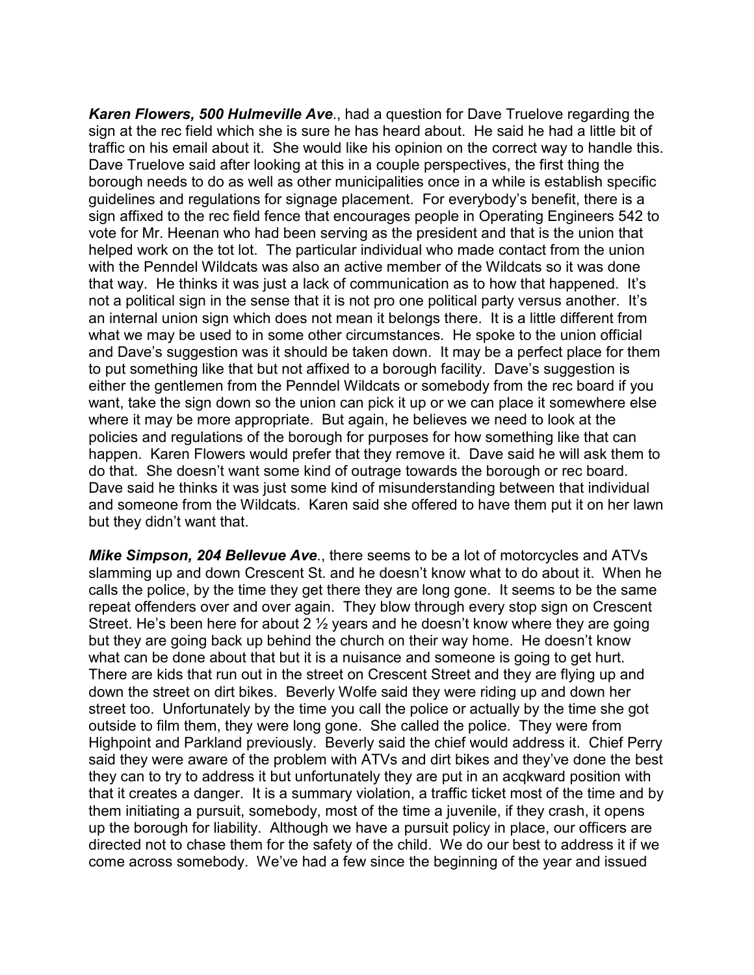*Karen Flowers, 500 Hulmeville Ave*., had a question for Dave Truelove regarding the sign at the rec field which she is sure he has heard about. He said he had a little bit of traffic on his email about it. She would like his opinion on the correct way to handle this. Dave Truelove said after looking at this in a couple perspectives, the first thing the borough needs to do as well as other municipalities once in a while is establish specific guidelines and regulations for signage placement. For everybody's benefit, there is a sign affixed to the rec field fence that encourages people in Operating Engineers 542 to vote for Mr. Heenan who had been serving as the president and that is the union that helped work on the tot lot. The particular individual who made contact from the union with the Penndel Wildcats was also an active member of the Wildcats so it was done that way. He thinks it was just a lack of communication as to how that happened. It's not a political sign in the sense that it is not pro one political party versus another. It's an internal union sign which does not mean it belongs there. It is a little different from what we may be used to in some other circumstances. He spoke to the union official and Dave's suggestion was it should be taken down. It may be a perfect place for them to put something like that but not affixed to a borough facility. Dave's suggestion is either the gentlemen from the Penndel Wildcats or somebody from the rec board if you want, take the sign down so the union can pick it up or we can place it somewhere else where it may be more appropriate. But again, he believes we need to look at the policies and regulations of the borough for purposes for how something like that can happen. Karen Flowers would prefer that they remove it. Dave said he will ask them to do that. She doesn't want some kind of outrage towards the borough or rec board. Dave said he thinks it was just some kind of misunderstanding between that individual and someone from the Wildcats. Karen said she offered to have them put it on her lawn but they didn't want that.

*Mike Simpson, 204 Bellevue Ave*., there seems to be a lot of motorcycles and ATVs slamming up and down Crescent St. and he doesn't know what to do about it. When he calls the police, by the time they get there they are long gone. It seems to be the same repeat offenders over and over again. They blow through every stop sign on Crescent Street. He's been here for about 2 ½ years and he doesn't know where they are going but they are going back up behind the church on their way home. He doesn't know what can be done about that but it is a nuisance and someone is going to get hurt. There are kids that run out in the street on Crescent Street and they are flying up and down the street on dirt bikes. Beverly Wolfe said they were riding up and down her street too. Unfortunately by the time you call the police or actually by the time she got outside to film them, they were long gone. She called the police. They were from Highpoint and Parkland previously. Beverly said the chief would address it. Chief Perry said they were aware of the problem with ATVs and dirt bikes and they've done the best they can to try to address it but unfortunately they are put in an acqkward position with that it creates a danger. It is a summary violation, a traffic ticket most of the time and by them initiating a pursuit, somebody, most of the time a juvenile, if they crash, it opens up the borough for liability. Although we have a pursuit policy in place, our officers are directed not to chase them for the safety of the child. We do our best to address it if we come across somebody. We've had a few since the beginning of the year and issued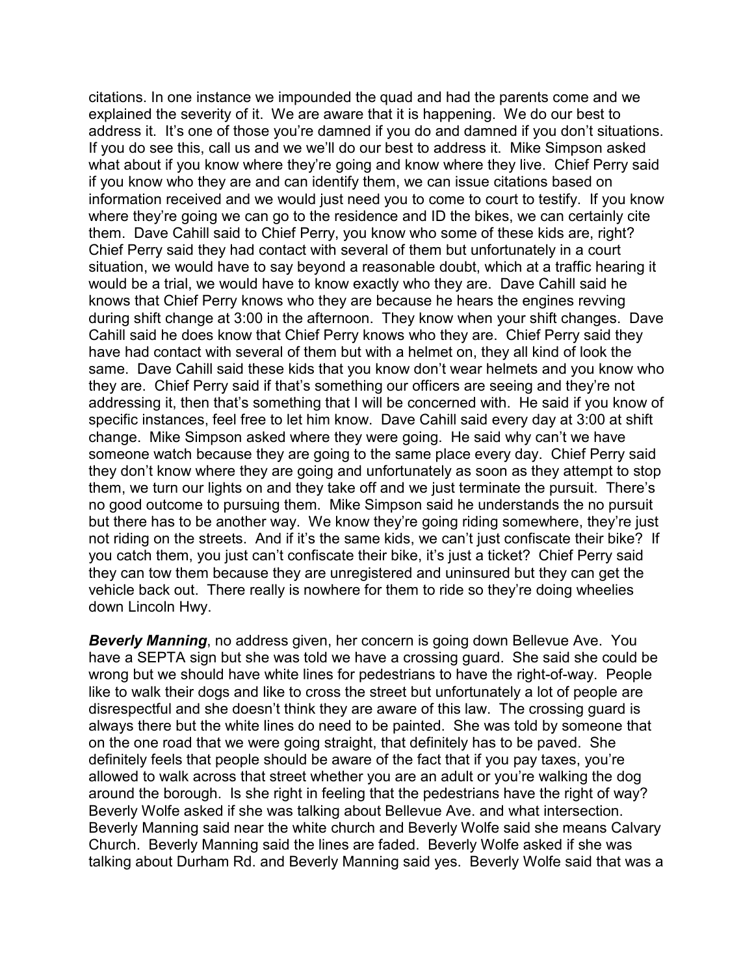citations. In one instance we impounded the quad and had the parents come and we explained the severity of it. We are aware that it is happening. We do our best to address it. It's one of those you're damned if you do and damned if you don't situations. If you do see this, call us and we we'll do our best to address it. Mike Simpson asked what about if you know where they're going and know where they live. Chief Perry said if you know who they are and can identify them, we can issue citations based on information received and we would just need you to come to court to testify. If you know where they're going we can go to the residence and ID the bikes, we can certainly cite them. Dave Cahill said to Chief Perry, you know who some of these kids are, right? Chief Perry said they had contact with several of them but unfortunately in a court situation, we would have to say beyond a reasonable doubt, which at a traffic hearing it would be a trial, we would have to know exactly who they are. Dave Cahill said he knows that Chief Perry knows who they are because he hears the engines revving during shift change at 3:00 in the afternoon. They know when your shift changes. Dave Cahill said he does know that Chief Perry knows who they are. Chief Perry said they have had contact with several of them but with a helmet on, they all kind of look the same. Dave Cahill said these kids that you know don't wear helmets and you know who they are. Chief Perry said if that's something our officers are seeing and they're not addressing it, then that's something that I will be concerned with. He said if you know of specific instances, feel free to let him know. Dave Cahill said every day at 3:00 at shift change. Mike Simpson asked where they were going. He said why can't we have someone watch because they are going to the same place every day. Chief Perry said they don't know where they are going and unfortunately as soon as they attempt to stop them, we turn our lights on and they take off and we just terminate the pursuit. There's no good outcome to pursuing them. Mike Simpson said he understands the no pursuit but there has to be another way. We know they're going riding somewhere, they're just not riding on the streets. And if it's the same kids, we can't just confiscate their bike? If you catch them, you just can't confiscate their bike, it's just a ticket? Chief Perry said they can tow them because they are unregistered and uninsured but they can get the vehicle back out. There really is nowhere for them to ride so they're doing wheelies down Lincoln Hwy.

*Beverly Manning*, no address given, her concern is going down Bellevue Ave. You have a SEPTA sign but she was told we have a crossing guard. She said she could be wrong but we should have white lines for pedestrians to have the right-of-way. People like to walk their dogs and like to cross the street but unfortunately a lot of people are disrespectful and she doesn't think they are aware of this law. The crossing guard is always there but the white lines do need to be painted. She was told by someone that on the one road that we were going straight, that definitely has to be paved. She definitely feels that people should be aware of the fact that if you pay taxes, you're allowed to walk across that street whether you are an adult or you're walking the dog around the borough. Is she right in feeling that the pedestrians have the right of way? Beverly Wolfe asked if she was talking about Bellevue Ave. and what intersection. Beverly Manning said near the white church and Beverly Wolfe said she means Calvary Church. Beverly Manning said the lines are faded. Beverly Wolfe asked if she was talking about Durham Rd. and Beverly Manning said yes. Beverly Wolfe said that was a